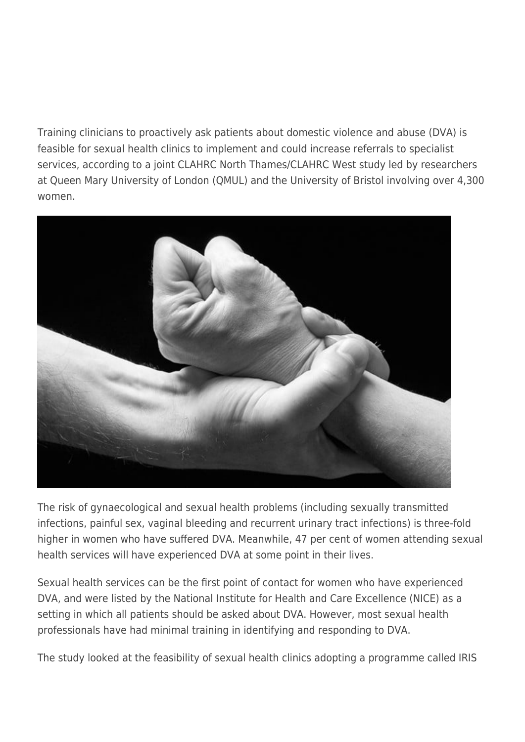Training clinicians to proactively ask patients about domestic violence and abuse (DVA) is feasible for sexual health clinics to implement and could increase referrals to specialist services, according to a joint CLAHRC North Thames/CLAHRC West study led by researchers at Queen Mary University of London (QMUL) and the University of Bristol involving over 4,300 women.



The risk of gynaecological and sexual health problems (including sexually transmitted infections, painful sex, vaginal bleeding and recurrent urinary tract infections) is three-fold higher in women who have suffered DVA. Meanwhile, 47 per cent of women attending sexual health services will have experienced DVA at some point in their lives.

Sexual health services can be the first point of contact for women who have experienced DVA, and were listed by the National Institute for Health and Care Excellence (NICE) as a setting in which all patients should be asked about DVA. However, most sexual health professionals have had minimal training in identifying and responding to DVA.

The study looked at the feasibility of sexual health clinics adopting a programme called IRIS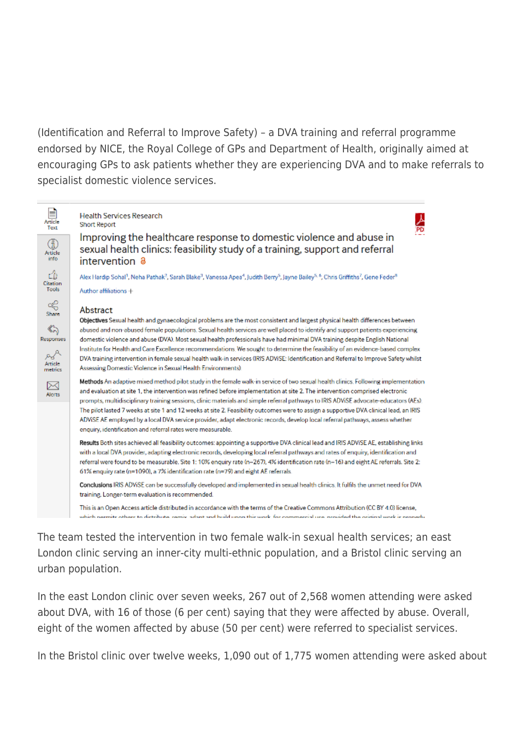(Identification and Referral to Improve Safety) – a DVA training and referral programme endorsed by NICE, the Royal College of GPs and Department of Health, originally aimed at encouraging GPs to ask patients whether they are experiencing DVA and to make referrals to specialist domestic violence services.



The team tested the intervention in two female walk-in sexual health services; an east London clinic serving an inner-city multi-ethnic population, and a Bristol clinic serving an urban population.

In the east London clinic over seven weeks, 267 out of 2,568 women attending were asked about DVA, with 16 of those (6 per cent) saying that they were affected by abuse. Overall, eight of the women affected by abuse (50 per cent) were referred to specialist services.

In the Bristol clinic over twelve weeks, 1,090 out of 1,775 women attending were asked about